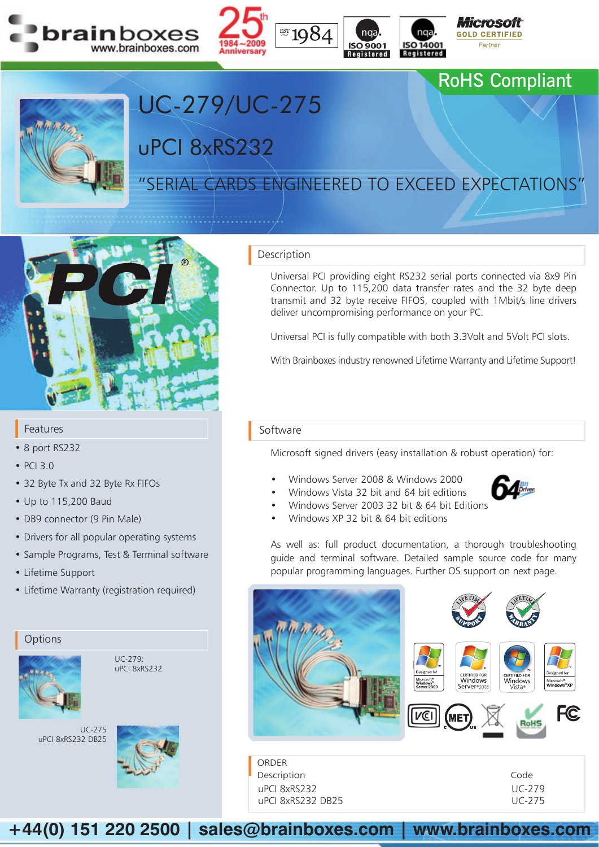





## RoHS Compliant



# "SERIAL CARDS ENGINEERED TO EXCEED EXPECTATIONS"

uPCI 8xRS232

UC-279/UC-275



#### Features

- 8 port RS232
- PCI 3.0
- 32 Byte Tx and 32 Byte Rx FIFOs
- Up to 115,200 Baud
- DB9 connector (9 Pin Male)
- Drivers for all popular operating systems
- Sample Programs, Test & Terminal software
- Lifetime Support
- Lifetime Warranty (registration required)

### **Options**



 $UC-279$ uPCI 8xRS232

UC-275 uPCI 8xRS232 DB25



#### Description

Universal PCI providing eight RS232 serial ports connected via 8x9 Pin Connector. Up to 115,200 data transfer rates and the 32 byte deep transmit and 32 byte receive FIFOS, coupled with 1Mbit/s line drivers deliver uncompromising performance on your PC.

Universal PCI is fully compatible with both 3.3Volt and 5Volt PCI slots.

With Brainboxes industry renowned Lifetime Warranty and Lifetime Support!

#### Software

ORDER Description uPCI 8xRS232 uPCI 8xRS232 DB25

Microsoft signed drivers (easy installation & robust operation) for:

- Windows Server 2008 & Windows 2000
- Windows Vista 32 bit and 64 bit editions
- Windows Server 2003 32 bit & 64 bit Editions
- Windows XP 32 bit & 64 bit editions



As well as: full product documentation, a thorough troubleshooting guide and terminal software. Detailed sample source code for many popular programming languages. Further OS support on next page.



| Code   |
|--------|
| UC-279 |
| UC-275 |

**+44(0) 151 220 2500 | sales@brainboxes.com | www.brainboxes.com**